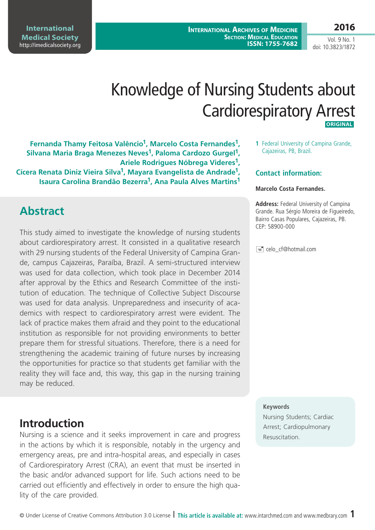**International Archives of Medicine SECTION: MEDICAL EDUCATION ISSN: 1755-7682**

**International Medical Society**  <http://imedicalsociety.org>

Vol. 9 No. 1 doi: 10.3823/1872

**2016**

# Knowledge of Nursing Students about Cardiorespiratory Arrest

 **original** 

**Fernanda Thamy Feitosa Valêncio1, Marcelo Costa Fernandes1, Silvana Maria Braga Menezes Neves1, Paloma Cardozo Gurgel1, Ariele Rodrigues Nóbrega Videres1, Cícera Renata Diniz Vieira Silva1, Mayara Evangelista de Andrade1, Isaura Carolina Brandão Bezerra1, Ana Paula Alves Martins1**

### **Abstract**

This study aimed to investigate the knowledge of nursing students about cardiorespiratory arrest. It consisted in a qualitative research with 29 nursing students of the Federal University of Campina Grande, campus Cajazeiras, Paraíba, Brazil. A semi-structured interview was used for data collection, which took place in December 2014 after approval by the Ethics and Research Committee of the institution of education. The technique of Collective Subject Discourse was used for data analysis. Unpreparedness and insecurity of academics with respect to cardiorespiratory arrest were evident. The lack of practice makes them afraid and they point to the educational institution as responsible for not providing environments to better prepare them for stressful situations. Therefore, there is a need for strengthening the academic training of future nurses by increasing the opportunities for practice so that students get familiar with the reality they will face and, this way, this gap in the nursing training may be reduced.

# **Introduction**

Nursing is a science and it seeks improvement in care and progress in the actions by which it is responsible, notably in the urgency and emergency areas, pre and intra-hospital areas, and especially in cases of Cardiorespiratory Arrest (CRA), an event that must be inserted in the basic and/or advanced support for life. Such actions need to be carried out efficiently and effectively in order to ensure the high quality of the care provided.

**1** Federal University of Campina Grande, Cajazeiras, PB, Brazil.

#### **Contact information:**

#### **Marcelo Costa Fernandes.**

**Address:** Federal University of Campina Grande. Rua Sérgio Moreira de Figueiredo, Bairro Casas Populares, Cajazeiras, PB. CEP: 58900-000

celo\_cf@hotmail.com

#### **Keywords**

Nursing Students; Cardiac Arrest; Cardiopulmonary Resuscitation.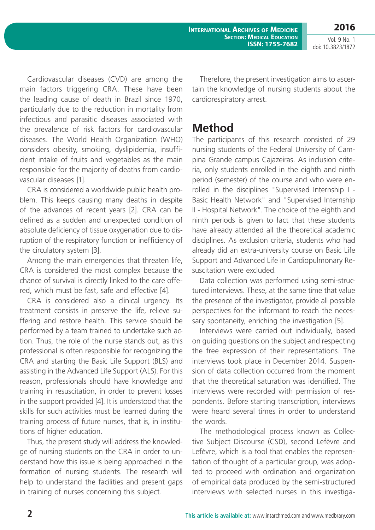**International Archives of Medicine SECTION: MEDICAL EDUCATION ISSN: 1755-7682**

Vol. 9 No. 1 doi: 10.3823/1872

**2016**

Cardiovascular diseases (CVD) are among the main factors triggering CRA. These have been the leading cause of death in Brazil since 1970, particularly due to the reduction in mortality from infectious and parasitic diseases associated with the prevalence of risk factors for cardiovascular diseases. The World Health Organization (WHO) considers obesity, smoking, dyslipidemia, insufficient intake of fruits and vegetables as the main responsible for the majority of deaths from cardiovascular diseases [1].

CRA is considered a worldwide public health problem. This keeps causing many deaths in despite of the advances of recent years [2]. CRA can be defined as a sudden and unexpected condition of absolute deficiency of tissue oxygenation due to disruption of the respiratory function or inefficiency of the circulatory system [3].

Among the main emergencies that threaten life, CRA is considered the most complex because the chance of survival is directly linked to the care offered, which must be fast, safe and effective [4].

CRA is considered also a clinical urgency. Its treatment consists in preserve the life, relieve suffering and restore health. This service should be performed by a team trained to undertake such action. Thus, the role of the nurse stands out, as this professional is often responsible for recognizing the CRA and starting the Basic Life Support (BLS) and assisting in the Advanced Life Support (ALS). For this reason, professionals should have knowledge and training in resuscitation, in order to prevent losses in the support provided [4]. It is understood that the skills for such activities must be learned during the training process of future nurses, that is, in institutions of higher education.

Thus, the present study will address the knowledge of nursing students on the CRA in order to understand how this issue is being approached in the formation of nursing students. The research will help to understand the facilities and present gaps in training of nurses concerning this subject.

Therefore, the present investigation aims to ascertain the knowledge of nursing students about the cardiorespiratory arrest.

### **Method**

The participants of this research consisted of 29 nursing students of the Federal University of Campina Grande campus Cajazeiras. As inclusion criteria, only students enrolled in the eighth and ninth period (semester) of the course and who were enrolled in the disciplines "Supervised Internship I - Basic Health Network" and "Supervised Internship II - Hospital Network". The choice of the eighth and ninth periods is given to fact that these students have already attended all the theoretical academic disciplines. As exclusion criteria, students who had already did an extra-university course on Basic Life Support and Advanced Life in Cardiopulmonary Resuscitation were excluded.

Data collection was performed using semi-structured interviews. These, at the same time that value the presence of the investigator, provide all possible perspectives for the informant to reach the necessary spontaneity, enriching the investigation [5].

Interviews were carried out individually, based on guiding questions on the subject and respecting the free expression of their representations. The interviews took place in December 2014. Suspension of data collection occurred from the moment that the theoretical saturation was identified. The interviews were recorded with permission of respondents. Before starting transcription, interviews were heard several times in order to understand the words.

The methodological process known as Collective Subject Discourse (CSD), second Lefèvre and Lefèvre, which is a tool that enables the representation of thought of a particular group, was adopted to proceed with ordination and organization of empirical data produced by the semi-structured interviews with selected nurses in this investiga-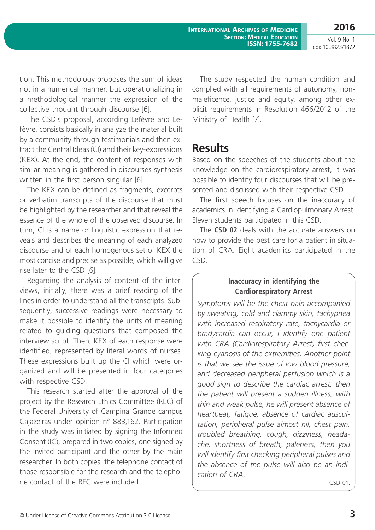**2016** Vol. 9 No. 1

doi: 10.3823/1872

tion. This methodology proposes the sum of ideas not in a numerical manner, but operationalizing in a methodological manner the expression of the collective thought through discourse [6].

The CSD's proposal, according Lefèvre and Lefèvre, consists basically in analyze the material built by a community through testimonials and then extract the Central Ideas (CI) and their key-expressions (KEX). At the end, the content of responses with similar meaning is gathered in discourses-synthesis written in the first person singular [6].

The KEX can be defined as fragments, excerpts or verbatim transcripts of the discourse that must be highlighted by the researcher and that reveal the essence of the whole of the observed discourse. In turn, CI is a name or linguistic expression that reveals and describes the meaning of each analyzed discourse and of each homogenous set of KEX the most concise and precise as possible, which will give rise later to the CSD [6].

Regarding the analysis of content of the interviews, initially, there was a brief reading of the lines in order to understand all the transcripts. Subsequently, successive readings were necessary to make it possible to identify the units of meaning related to guiding questions that composed the interview script. Then, KEX of each response were identified, represented by literal words of nurses. These expressions built up the CI which were organized and will be presented in four categories with respective CSD.

This research started after the approval of the project by the Research Ethics Committee (REC) of the Federal University of Campina Grande campus Cajazeiras under opinion nº 883,162. Participation in the study was initiated by signing the Informed Consent (IC), prepared in two copies, one signed by the invited participant and the other by the main researcher. In both copies, the telephone contact of those responsible for the research and the telephone contact of the REC were included.

The study respected the human condition and complied with all requirements of autonomy, nonmaleficence, justice and equity, among other explicit requirements in Resolution 466/2012 of the Ministry of Health [7].

### **Results**

Based on the speeches of the students about the knowledge on the cardiorespiratory arrest, it was possible to identify four discourses that will be presented and discussed with their respective CSD.

The first speech focuses on the inaccuracy of academics in identifying a Cardiopulmonary Arrest. Eleven students participated in this CSD.

The **CSD 02** deals with the accurate answers on how to provide the best care for a patient in situation of CRA. Eight academics participated in the CSD.

#### **Inaccuracy in identifying the Cardiorespiratory Arrest**

*Symptoms will be the chest pain accompanied by sweating, cold and clammy skin, tachypnea with increased respiratory rate, tachycardia or bradycardia can occur, I identify one patient with CRA (Cardiorespiratory Arrest) first checking cyanosis of the extremities. Another point is that we see the issue of low blood pressure, and decreased peripheral perfusion which is a good sign to describe the cardiac arrest, then the patient will present a sudden illness, with thin and weak pulse, he will present absence of heartbeat, fatigue, absence of cardiac auscultation, peripheral pulse almost nil, chest pain, troubled breathing, cough, dizziness, headache, shortness of breath, paleness, then you will identify first checking peripheral pulses and the absence of the pulse will also be an indication of CRA.*

CSD 01.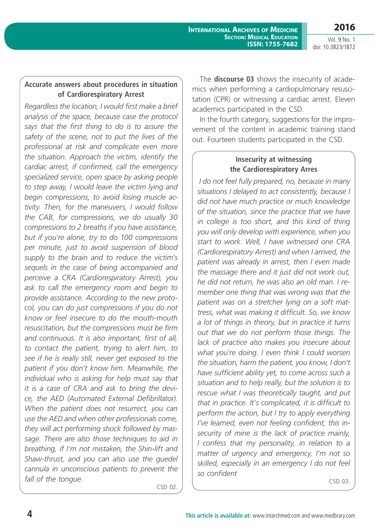Vol. 9 No. 1 doi: 10.3823/1872

### **Accurate answers about procedures in situation of Cardiorespiratory Arrest**

*Regardless the location, I would first make a brief analysis of the space, because case the protocol says that the first thing to do is to assure the safety of the scene, not to put the lives of the professional at risk and complicate even more the situation. Approach the victim, identify the cardiac arrest, if confirmed, call the emergency specialized service, open space by asking people to step away, I would leave the victim lying and begin compressions, to avoid losing muscle activity. Then, for the maneuvers, I would follow the CAB, for compressions, we do usually 30 compressions to 2 breaths if you have assistance, but if you're alone, try to do 100 compressions per minute, just to avoid suspension of blood supply to the brain and to reduce the victim's sequels in the case of being accompanied and perceive a CRA (Cardiorespiratory Arrest), you ask to call the emergency room and begin to provide assistance. According to the new protocol, you can do just compressions if you do not know or feel insecure to do the mouth-mouth resuscitation, but the compressions must be firm and continuous. It is also important, first of all, to contact the patient, trying to alert him, to see if he is really still, never get exposed to the patient if you don't know him. Meanwhile, the individual who is asking for help must say that it is a case of CRA and ask to bring the device, the AED (Automated External Defibrillator). When the patient does not resurrect, you can use the AED and when other professionals come, they will act performing shock followed by massage. There are also those techniques to aid in breathing, if I'm not mistaken, the Shin-lift and Shaw-thrust, and you can also use the guedel cannula in unconscious patients to prevent the fall of the tongue.*

CSD 02.

The **discourse 03** shows the insecurity of academics when performing a cardiopulmonary resuscitation (CPR) or witnessing a cardiac arrest. Eleven academics participated in the CSD.

In the fourth category, suggestions for the improvement of the content in academic training stand out. Fourteen students participated in the CSD.

### **Insecurity at witnessing the Cardiorespiratory Arres**

 *I do not feel fully prepared, no, because in many situations I delayed to act consistently, because I did not have much practice or much knowledge of the situation, since the practice that we have in college is too short, and this kind of thing you will only develop with experience, when you start to work. Well, I have witnessed one CRA (Cardiorespiratory Arrest) and when I arrived, the patient was already in arrest, then I even made the massage there and it just did not work out, he did not return, he was also an old man. I remember one thing that was wrong was that the patient was on a stretcher lying on a soft mattress, what was making it difficult. So, we know a lot of things in theory, but in practice it turns out that we do not perform those things. The lack of practice also makes you insecure about what you're doing. I even think I could worsen the situation, harm the patient, you know, I don't have sufficient ability yet, to come across such a situation and to help really, but the solution is to rescue what I was theoretically taught, and put that in practice. It's complicated, it is difficult to perform the action, but I try to apply everything I've learned, even not feeling confident, this insecurity of mine is the lack of practice mainly, I confess that my personality, in relation to a matter of urgency and emergency, I'm not so skilled, especially in an emergency I do not feel so confident*

CSD 03.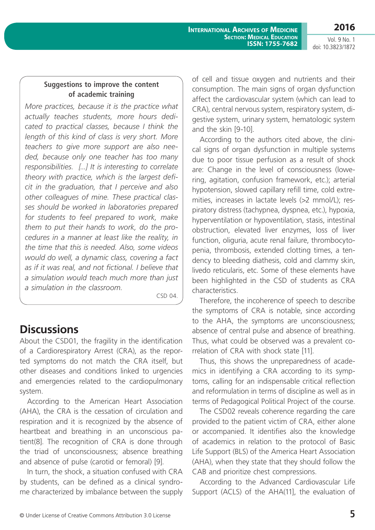**2016**

Vol. 9 No. 1 doi: 10.3823/1872

### **Suggestions to improve the content of academic training**

*More practices, because it is the practice what actually teaches students, more hours dedicated to practical classes, because I think the length of this kind of class is very short. More teachers to give more support are also needed, because only one teacher has too many responsibilities. [...] It is interesting to correlate theory with practice, which is the largest deficit in the graduation, that I perceive and also other colleagues of mine. These practical classes should be worked in laboratories prepared for students to feel prepared to work, make them to put their hands to work, do the procedures in a manner at least like the reality, in the time that this is needed. Also, some videos would do well, a dynamic class, covering a fact as if it was real, and not fictional. I believe that a simulation would teach much more than just a simulation in the classroom.*

CSD 04.

# **Discussions**

About the CSD01, the fragility in the identification of a Cardiorespiratory Arrest (CRA), as the reported symptoms do not match the CRA itself, but other diseases and conditions linked to urgencies and emergencies related to the cardiopulmonary system.

According to the American Heart Association (AHA), the CRA is the cessation of circulation and respiration and it is recognized by the absence of heartbeat and breathing in an unconscious patient(8]. The recognition of CRA is done through the triad of unconsciousness; absence breathing and absence of pulse (carotid or femoral) [9].

In turn, the shock, a situation confused with CRA by students, can be defined as a clinical syndrome characterized by imbalance between the supply of cell and tissue oxygen and nutrients and their consumption. The main signs of organ dysfunction affect the cardiovascular system (which can lead to CRA), central nervous system, respiratory system, digestive system, urinary system, hematologic system and the skin [9-10].

According to the authors cited above, the clinical signs of organ dysfunction in multiple systems due to poor tissue perfusion as a result of shock are: Change in the level of consciousness (lowering, agitation, confusion framework, etc.); arterial hypotension, slowed capillary refill time, cold extremities, increases in lactate levels (>2 mmol/L); respiratory distress (tachypnea, dyspnea, etc.), hypoxia, hyperventilation or hypoventilation, stasis, intestinal obstruction, elevated liver enzymes, loss of liver function, oliguria, acute renal failure, thrombocytopenia, thrombosis, extended clotting times, a tendency to bleeding diathesis, cold and clammy skin, livedo reticularis, etc. Some of these elements have been highlighted in the CSD of students as CRA characteristics.

Therefore, the incoherence of speech to describe the symptoms of CRA is notable, since according to the AHA, the symptoms are unconsciousness; absence of central pulse and absence of breathing. Thus, what could be observed was a prevalent correlation of CRA with shock state [11].

Thus, this shows the unpreparedness of academics in identifying a CRA according to its symptoms, calling for an indispensable critical reflection and reformulation in terms of discipline as well as in terms of Pedagogical Political Project of the course.

The CSD02 reveals coherence regarding the care provided to the patient victim of CRA, either alone or accompanied. It identifies also the knowledge of academics in relation to the protocol of Basic Life Support (BLS) of the America Heart Association (AHA), when they state that they should follow the CAB and prioritize chest compressions.

According to the Advanced Cardiovascular Life Support (ACLS) of the AHA(11], the evaluation of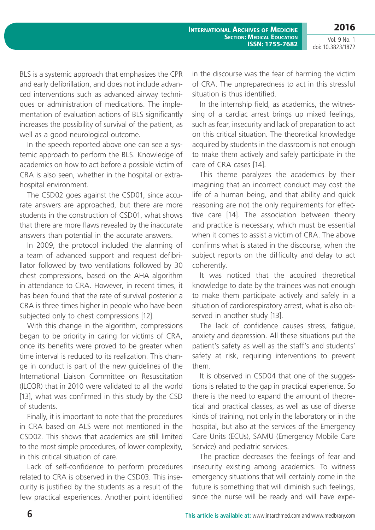**2016**

Vol. 9 No. 1 doi: 10.3823/1872

BLS is a systemic approach that emphasizes the CPR and early defibrillation, and does not include advanced interventions such as advanced airway techniques or administration of medications. The implementation of evaluation actions of BLS significantly increases the possibility of survival of the patient, as well as a good neurological outcome.

In the speech reported above one can see a systemic approach to perform the BLS. Knowledge of academics on how to act before a possible victim of CRA is also seen, whether in the hospital or extrahospital environment.

The CSD02 goes against the CSD01, since accurate answers are approached, but there are more students in the construction of CSD01, what shows that there are more flaws revealed by the inaccurate answers than potential in the accurate answers.

In 2009, the protocol included the alarming of a team of advanced support and request defibrillator followed by two ventilations followed by 30 chest compressions, based on the AHA algorithm in attendance to CRA. However, in recent times, it has been found that the rate of survival posterior a CRA is three times higher in people who have been subjected only to chest compressions [12].

With this change in the algorithm, compressions began to be priority in caring for victims of CRA, once its benefits were proved to be greater when time interval is reduced to its realization. This change in conduct is part of the new guidelines of the International Liaison Committee on Resuscitation (ILCOR) that in 2010 were validated to all the world [13], what was confirmed in this study by the CSD of students.

Finally, it is important to note that the procedures in CRA based on ALS were not mentioned in the CSD02. This shows that academics are still limited to the most simple procedures, of lower complexity, in this critical situation of care.

Lack of self-confidence to perform procedures related to CRA is observed in the CSD03. This insecurity is justified by the students as a result of the few practical experiences. Another point identified in the discourse was the fear of harming the victim of CRA. The unpreparedness to act in this stressful situation is thus identified.

In the internship field, as academics, the witnessing of a cardiac arrest brings up mixed feelings, such as fear, insecurity and lack of preparation to act on this critical situation. The theoretical knowledge acquired by students in the classroom is not enough to make them actively and safely participate in the care of CRA cases [14].

This theme paralyzes the academics by their imagining that an incorrect conduct may cost the life of a human being, and that ability and quick reasoning are not the only requirements for effective care [14]. The association between theory and practice is necessary, which must be essential when it comes to assist a victim of CRA. The above confirms what is stated in the discourse, when the subject reports on the difficulty and delay to act coherently.

It was noticed that the acquired theoretical knowledge to date by the trainees was not enough to make them participate actively and safely in a situation of cardiorespiratory arrest, what is also observed in another study [13].

The lack of confidence causes stress, fatigue, anxiety and depression. All these situations put the patient's safety as well as the staff's and students' safety at risk, requiring interventions to prevent them.

It is observed in CSD04 that one of the suggestions is related to the gap in practical experience. So there is the need to expand the amount of theoretical and practical classes, as well as use of diverse kinds of training, not only in the laboratory or in the hospital, but also at the services of the Emergency Care Units (ECUs), SAMU (Emergency Mobile Care Service) and pediatric services.

The practice decreases the feelings of fear and insecurity existing among academics. To witness emergency situations that will certainly come in the future is something that will diminish such feelings, since the nurse will be ready and will have expe-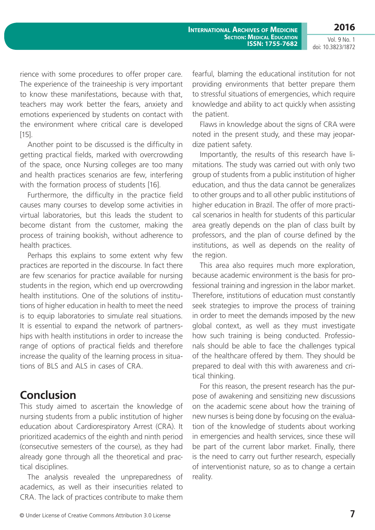**2016**

Vol. 9 No. 1 doi: 10.3823/1872

rience with some procedures to offer proper care. The experience of the traineeship is very important to know these manifestations, because with that, teachers may work better the fears, anxiety and emotions experienced by students on contact with the environment where critical care is developed [15].

Another point to be discussed is the difficulty in getting practical fields, marked with overcrowding of the space, once Nursing colleges are too many and health practices scenarios are few, interfering with the formation process of students [16].

Furthermore, the difficulty in the practice field causes many courses to develop some activities in virtual laboratories, but this leads the student to become distant from the customer, making the process of training bookish, without adherence to health practices.

Perhaps this explains to some extent why few practices are reported in the discourse. In fact there are few scenarios for practice available for nursing students in the region, which end up overcrowding health institutions. One of the solutions of institutions of higher education in health to meet the need is to equip laboratories to simulate real situations. It is essential to expand the network of partnerships with health institutions in order to increase the range of options of practical fields and therefore increase the quality of the learning process in situations of BLS and ALS in cases of CRA.

## **Conclusion**

This study aimed to ascertain the knowledge of nursing students from a public institution of higher education about Cardiorespiratory Arrest (CRA). It prioritized academics of the eighth and ninth period (consecutive semesters of the course), as they had already gone through all the theoretical and practical disciplines.

The analysis revealed the unpreparedness of academics, as well as their insecurities related to CRA. The lack of practices contribute to make them fearful, blaming the educational institution for not providing environments that better prepare them to stressful situations of emergencies, which require knowledge and ability to act quickly when assisting the patient.

Flaws in knowledge about the signs of CRA were noted in the present study, and these may jeopardize patient safety.

Importantly, the results of this research have limitations. The study was carried out with only two group of students from a public institution of higher education, and thus the data cannot be generalizes to other groups and to all other public institutions of higher education in Brazil. The offer of more practical scenarios in health for students of this particular area greatly depends on the plan of class built by professors, and the plan of course defined by the institutions, as well as depends on the reality of the region.

This area also requires much more exploration, because academic environment is the basis for professional training and ingression in the labor market. Therefore, institutions of education must constantly seek strategies to improve the process of training in order to meet the demands imposed by the new global context, as well as they must investigate how such training is being conducted. Professionals should be able to face the challenges typical of the healthcare offered by them. They should be prepared to deal with this with awareness and critical thinking.

For this reason, the present research has the purpose of awakening and sensitizing new discussions on the academic scene about how the training of new nurses is being done by focusing on the evaluation of the knowledge of students about working in emergencies and health services, since these will be part of the current labor market. Finally, there is the need to carry out further research, especially of interventionist nature, so as to change a certain reality.